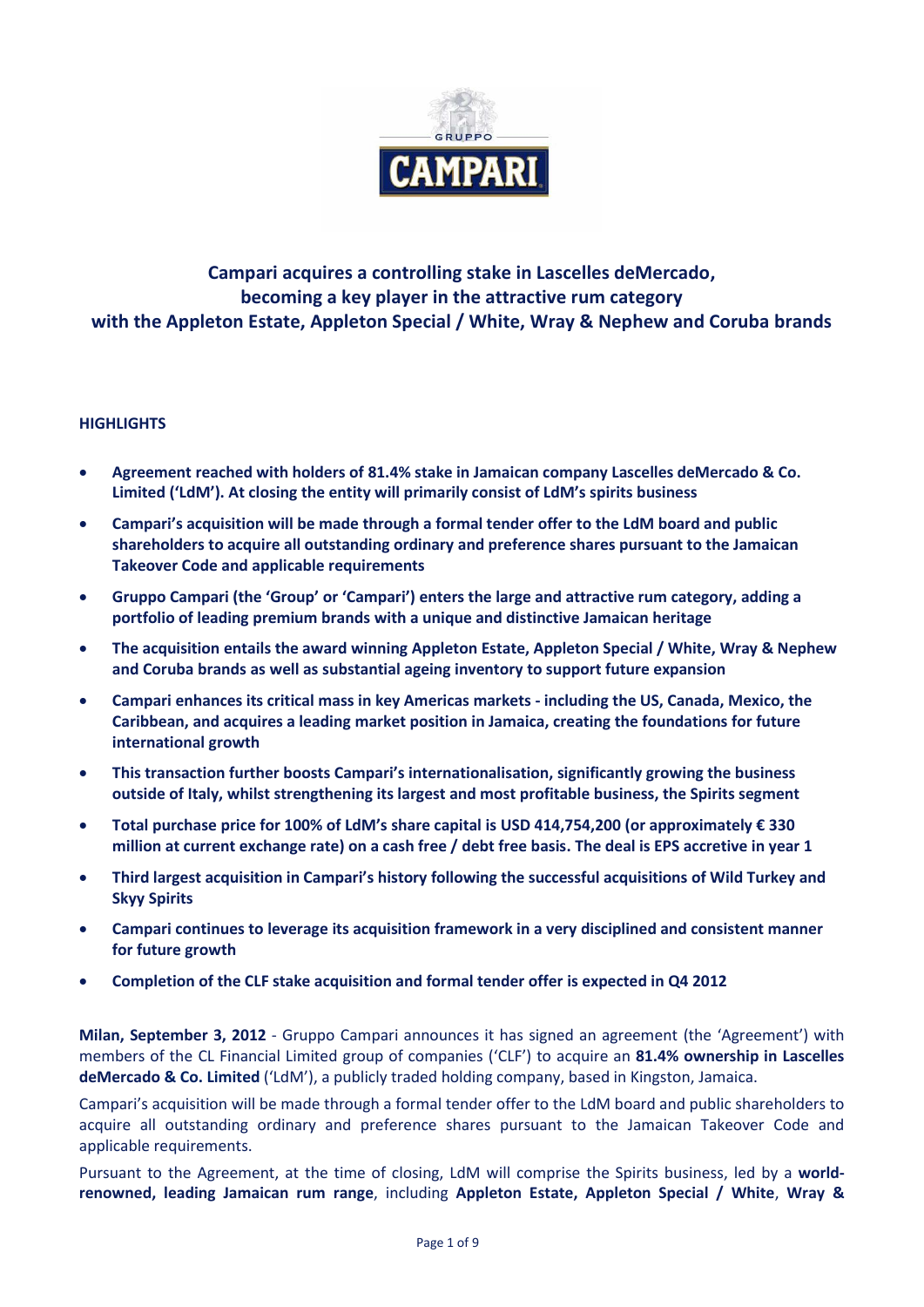

# **Campari acquires a controlling stake in Lascelles deMercado, becoming a key player in the attractive rum category with the Appleton Estate, Appleton Special / White, Wray & Nephew and Coruba brands**

# **HIGHLIGHTS**

- **Agreement reached with holders of 81.4% stake in Jamaican company Lascelles deMercado & Co. Limited ('LdM'). At closing the entity will primarily consist of LdM's spirits business**
- **Campari's acquisition will be made through a formal tender offer to the LdM board and public shareholders to acquire all outstanding ordinary and preference shares pursuant to the Jamaican Takeover Code and applicable requirements**
- **Gruppo Campari (the 'Group' or 'Campari') enters the large and attractive rum category, adding a portfolio of leading premium brands with a unique and distinctive Jamaican heritage**
- **The acquisition entails the award winning Appleton Estate, Appleton Special / White, Wray & Nephew and Coruba brands as well as substantial ageing inventory to support future expansion**
- **Campari enhances its critical mass in key Americas markets - including the US, Canada, Mexico, the Caribbean, and acquires a leading market position in Jamaica, creating the foundations for future international growth**
- **This transaction further boosts Campari's internationalisation, significantly growing the business outside of Italy, whilst strengthening its largest and most profitable business, the Spirits segment**
- **Total purchase price for 100% of LdM's share capital is USD 414,754,200 (or approximately € 330 million at current exchange rate) on a cash free / debt free basis. The deal is EPS accretive in year 1**
- **Third largest acquisition in Campari's history following the successful acquisitions of Wild Turkey and Skyy Spirits**
- **Campari continues to leverage its acquisition framework in a very disciplined and consistent manner for future growth**
- **Completion of the CLF stake acquisition and formal tender offer is expected in Q4 2012**

**Milan, September 3, 2012** - Gruppo Campari announces it has signed an agreement (the 'Agreement') with members of the CL Financial Limited group of companies ('CLF') to acquire an **81.4% ownership in Lascelles deMercado & Co. Limited** ('LdM'), a publicly traded holding company, based in Kingston, Jamaica.

Campari's acquisition will be made through a formal tender offer to the LdM board and public shareholders to acquire all outstanding ordinary and preference shares pursuant to the Jamaican Takeover Code and applicable requirements.

Pursuant to the Agreement, at the time of closing, LdM will comprise the Spirits business, led by a **worldrenowned, leading Jamaican rum range**, including **Appleton Estate, Appleton Special / White**, **Wray &**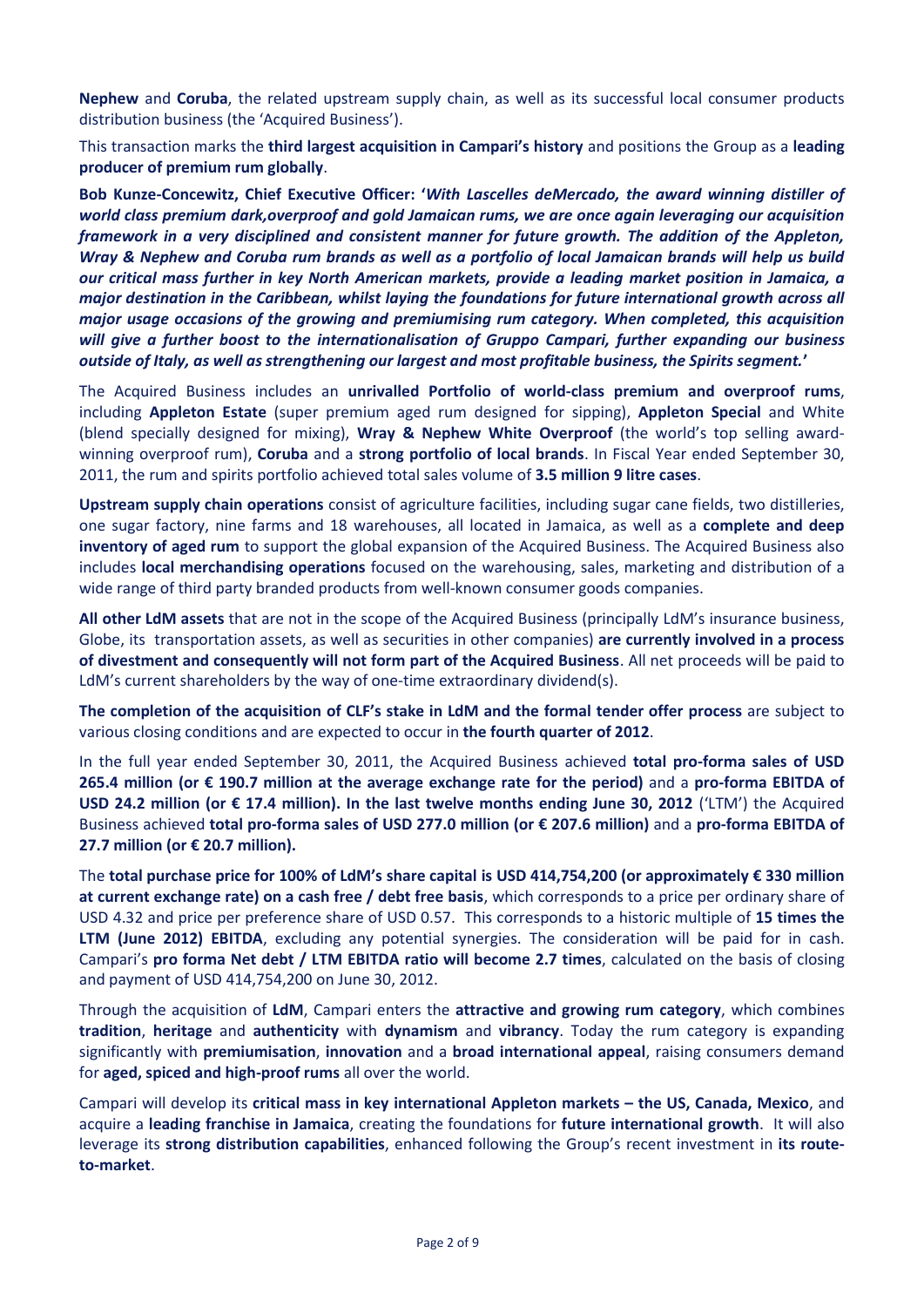**Nephew** and **Coruba**, the related upstream supply chain, as well as its successful local consumer products distribution business (the 'Acquired Business').

This transaction marks the **third largest acquisition in Campari's history** and positions the Group as a **leading producer of premium rum globally**.

**Bob Kunze-Concewitz, Chief Executive Officer: '***With Lascelles deMercado, the award winning distiller of world class premium dark,overproof and gold Jamaican rums, we are once again leveraging our acquisition framework in a very disciplined and consistent manner for future growth. The addition of the Appleton, Wray & Nephew and Coruba rum brands as well as a portfolio of local Jamaican brands will help us build our critical mass further in key North American markets, provide a leading market position in Jamaica, a major destination in the Caribbean, whilst laying the foundations for future international growth across all major usage occasions of the growing and premiumising rum category. When completed, this acquisition will give a further boost to the internationalisation of Gruppo Campari, further expanding our business outside of Italy, as well as strengthening our largest and most profitable business, the Spirits segment.***'**

The Acquired Business includes an **unrivalled Portfolio of world-class premium and overproof rums**, including **Appleton Estate** (super premium aged rum designed for sipping), **Appleton Special** and White (blend specially designed for mixing), **Wray & Nephew White Overproof** (the world's top selling awardwinning overproof rum), **Coruba** and a **strong portfolio of local brands**. In Fiscal Year ended September 30, 2011, the rum and spirits portfolio achieved total sales volume of **3.5 million 9 litre cases**.

**Upstream supply chain operations** consist of agriculture facilities, including sugar cane fields, two distilleries, one sugar factory, nine farms and 18 warehouses, all located in Jamaica, as well as a **complete and deep inventory of aged rum** to support the global expansion of the Acquired Business. The Acquired Business also includes **local merchandising operations** focused on the warehousing, sales, marketing and distribution of a wide range of third party branded products from well-known consumer goods companies.

**All other LdM assets** that are not in the scope of the Acquired Business (principally LdM's insurance business, Globe, its transportation assets, as well as securities in other companies) **are currently involved in a process of divestment and consequently will not form part of the Acquired Business**. All net proceeds will be paid to LdM's current shareholders by the way of one-time extraordinary dividend(s).

**The completion of the acquisition of CLF's stake in LdM and the formal tender offer process** are subject to various closing conditions and are expected to occur in **the fourth quarter of 2012**.

In the full year ended September 30, 2011, the Acquired Business achieved **total pro-forma sales of USD 265.4 million (or € 190.7 million at the average exchange rate for the period)** and a **pro-forma EBITDA of USD 24.2 million (or € 17.4 million). In the last twelve months ending June 30, 2012** ('LTM') the Acquired Business achieved **total pro-forma sales of USD 277.0 million (or € 207.6 million)** and a **pro-forma EBITDA of 27.7 million (or € 20.7 million).**

The **total purchase price for 100% of LdM's share capital is USD 414,754,200 (or approximately € 330 million at current exchange rate) on a cash free / debt free basis**, which corresponds to a price per ordinary share of USD 4.32 and price per preference share of USD 0.57. This corresponds to a historic multiple of **15 times the LTM (June 2012) EBITDA**, excluding any potential synergies. The consideration will be paid for in cash. Campari's **pro forma Net debt / LTM EBITDA ratio will become 2.7 times**, calculated on the basis of closing and payment of USD 414,754,200 on June 30, 2012.

Through the acquisition of **LdM**, Campari enters the **attractive and growing rum category**, which combines **tradition**, **heritage** and **authenticity** with **dynamism** and **vibrancy**. Today the rum category is expanding significantly with **premiumisation**, **innovation** and a **broad international appeal**, raising consumers demand for **aged, spiced and high-proof rums** all over the world.

Campari will develop its **critical mass in key international Appleton markets – the US, Canada, Mexico**, and acquire a **leading franchise in Jamaica**, creating the foundations for **future international growth**. It will also leverage its **strong distribution capabilities**, enhanced following the Group's recent investment in **its routeto-market**.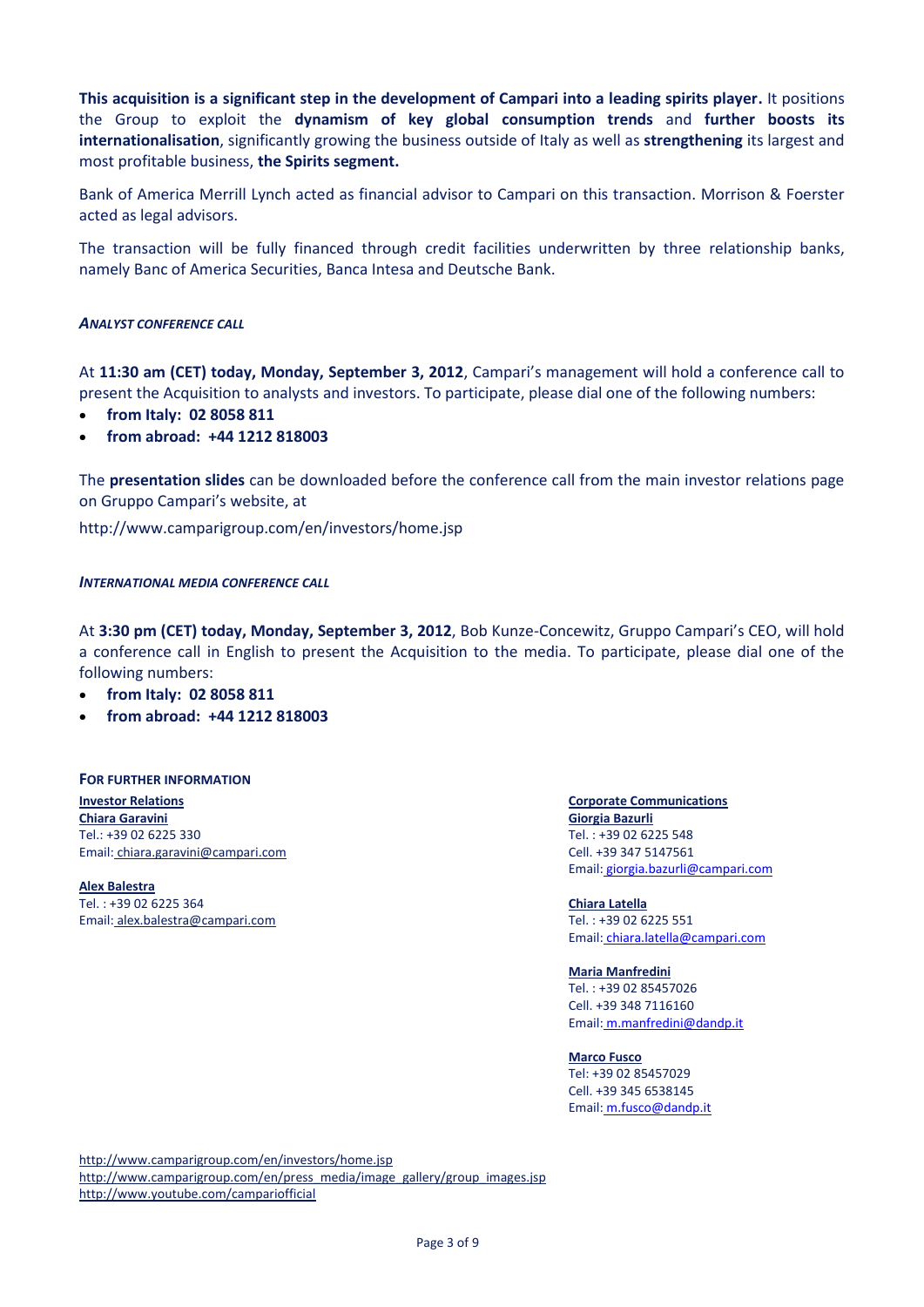**This acquisition is a significant step in the development of Campari into a leading spirits player.** It positions the Group to exploit the **dynamism of key global consumption trends** and **further boosts its internationalisation**, significantly growing the business outside of Italy as well as **strengthening** its largest and most profitable business, **the Spirits segment.**

Bank of America Merrill Lynch acted as financial advisor to Campari on this transaction. Morrison & Foerster acted as legal advisors.

The transaction will be fully financed through credit facilities underwritten by three relationship banks, namely Banc of America Securities, Banca Intesa and Deutsche Bank.

## *ANALYST CONFERENCE CALL*

At **11:30 am (CET) today, Monday, September 3, 2012**, Campari's management will hold a conference call to present the Acquisition to analysts and investors. To participate, please dial one of the following numbers:

- **from Italy: 02 8058 811**
- **from abroad: +44 1212 818003**

The **presentation slides** can be downloaded before the conference call from the main investor relations page on Gruppo Campari's website, at

http://www.camparigroup.com/en/investors/home.jsp

### *INTERNATIONAL MEDIA CONFERENCE CALL*

At **3:30 pm (CET) today, Monday, September 3, 2012**, Bob Kunze-Concewitz, Gruppo Campari's CEO, will hold a conference call in English to present the Acquisition to the media. To participate, please dial one of the following numbers:

**from Italy: 02 8058 811**

**from abroad: +44 1212 818003**

#### **FOR FURTHER INFORMATION**

**Investor Relations Corporate Communications Chiara Garavini** Tel.: +39 02 6225 330 Email: chiara.garavini@campari.com

**Alex Balestra** Tel. : +39 02 6225 364 Email: alex.balestra@campari.com

**Giorgia Bazurli** Tel. : +39 02 6225 548 Cell. +39 347 5147561 Email: [giorgia.bazurli@campari.com](mailto:giorgia.bazurli@campari.com)

**Chiara Latella** Tel. : +39 02 6225 551 Email: [chiara.latella@campari.com](mailto:chiara.latella@campari.com)

**Maria Manfredini** Tel. : +39 02 85457026 Cell. +39 348 7116160 Email: [m.manfredini@dandp.it](mailto:m.manfredini@dandp.it)

**Marco Fusco**  Tel: +39 02 85457029 Cell. +39 345 6538145 Email: [m.fusco@dandp.it](mailto:m.fusco@dandp.it)

<http://www.camparigroup.com/en/investors/home.jsp> [http://www.camparigroup.com/en/press\\_media/image\\_gallery/group\\_images.jsp](http://www.camparigroup.com/en/press_media/image_gallery/group_images.jsp) http://www.youtube.com/campariofficial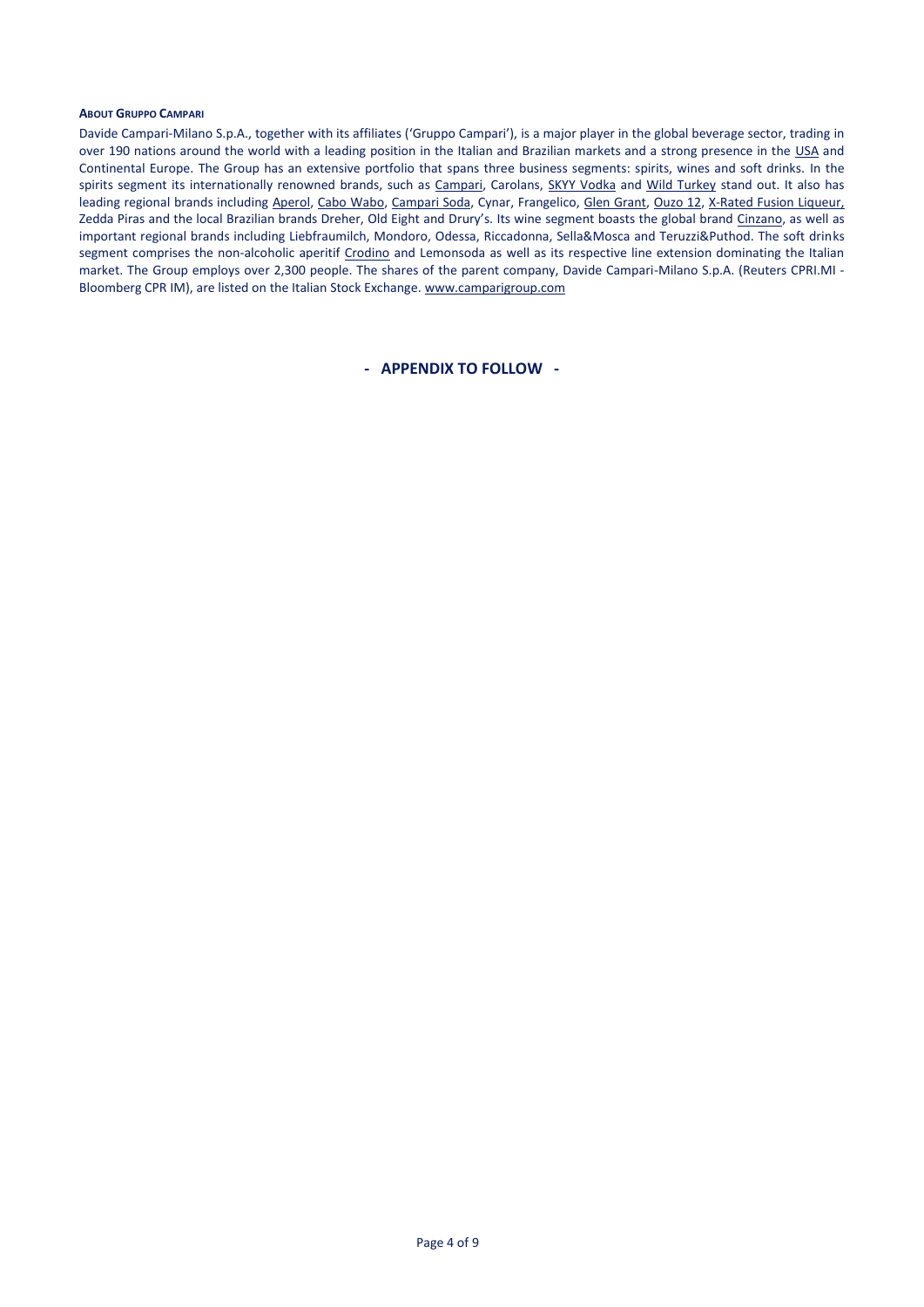#### **ABOUT GRUPPO CAMPARI**

Davide Campari-Milano S.p.A., together with its affiliates ('Gruppo Campari'), is a major player in the global beverage sector, trading in over 190 nations around the world with a leading position in the Italian and Brazilian markets and a strong presence in the USA and Continental Europe. The Group has an extensive portfolio that spans three business segments: spirits, wines and soft drinks. In the spirits segment its internationally renowned brands, such as [Campari,](http://www.campari.com/) Carolans, [SKYY Vodka](http://www.skyy.com/) and Wild Turkey stand out. It also has leading regional brands includin[g Aperol,](http://www.aperol.com/) [Cabo Wabo,](http://www.cabowabo.com/) [Campari Soda,](http://www.camparisoda.it/) Cynar, Frangelico, Glen [Grant,](http://www.glengrant.com/) [Ouzo 12,](http://www.ouzo12.gr/) [X-Rated](http://www.xratedfusion.com/) Fusion Liqueur, Zedda Piras and the local Brazilian brands Dreher, Old Eight and Drury's. Its wine segment boasts the global brand [Cinzano,](http://www.cinzano.com/) as well as important regional brands including Liebfraumilch, Mondoro, Odessa, Riccadonna, Sella&Mosca and Teruzzi&Puthod. The soft drinks segment comprises the non-alcoholic aperitif [Crodino](http://www.crodino.it/) and Lemonsoda as well as its respective line extension dominating the Italian market. The Group employs over 2,300 people. The shares of the parent company, Davide Campari-Milano S.p.A. (Reuters CPRI.MI - Bloomberg CPR IM), are listed on the Italian Stock Exchange. [www.camparigroup.com](http://www.camparigroup.com/)

**- APPENDIX TO FOLLOW -**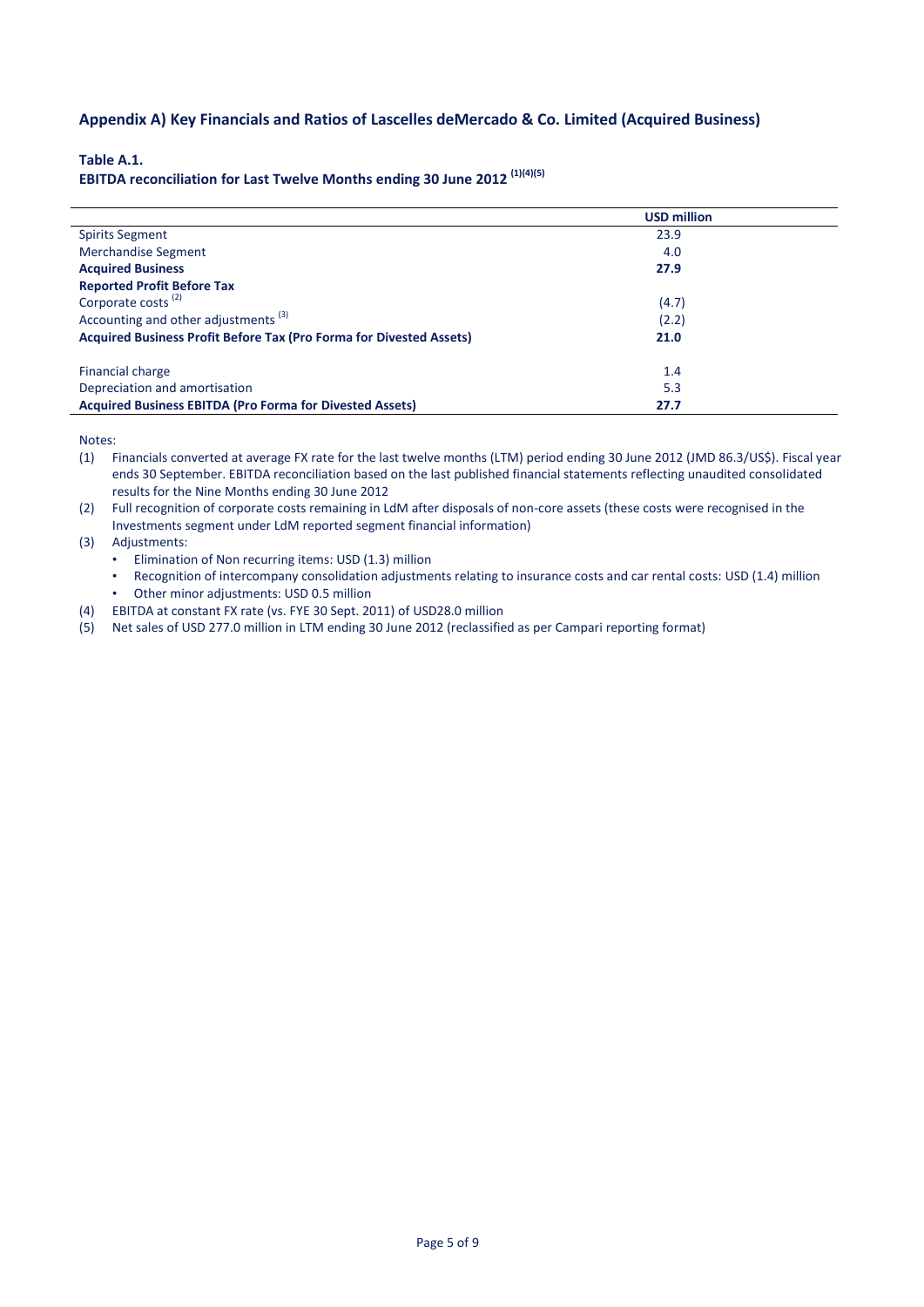# **Appendix A) Key Financials and Ratios of Lascelles deMercado & Co. Limited (Acquired Business)**

### **Table A.1.**

**EBITDA reconciliation for Last Twelve Months ending 30 June 2012 (1)(4)(5)**

|                                                                            | <b>USD million</b> |  |
|----------------------------------------------------------------------------|--------------------|--|
| <b>Spirits Segment</b>                                                     | 23.9               |  |
| <b>Merchandise Segment</b>                                                 | 4.0                |  |
| <b>Acquired Business</b>                                                   | 27.9               |  |
| <b>Reported Profit Before Tax</b>                                          |                    |  |
| Corporate costs <sup>(2)</sup>                                             | (4.7)              |  |
| Accounting and other adjustments <sup>(3)</sup>                            | (2.2)              |  |
| <b>Acquired Business Profit Before Tax (Pro Forma for Divested Assets)</b> | 21.0               |  |
| <b>Financial charge</b>                                                    | 1.4                |  |
| Depreciation and amortisation                                              | 5.3                |  |
| <b>Acquired Business EBITDA (Pro Forma for Divested Assets)</b>            | 27.7               |  |

Notes:

- (1) Financials converted at average FX rate for the last twelve months (LTM) period ending 30 June 2012 (JMD 86.3/US\$). Fiscal year ends 30 September. EBITDA reconciliation based on the last published financial statements reflecting unaudited consolidated results for the Nine Months ending 30 June 2012
- (2) Full recognition of corporate costs remaining in LdM after disposals of non-core assets (these costs were recognised in the Investments segment under LdM reported segment financial information)

(3) Adjustments:

- Elimination of Non recurring items: USD (1.3) million
- Recognition of intercompany consolidation adjustments relating to insurance costs and car rental costs: USD (1.4) million
- Other minor adjustments: USD 0.5 million
- (4) EBITDA at constant FX rate (vs. FYE 30 Sept. 2011) of USD28.0 million
- (5) Net sales of USD 277.0 million in LTM ending 30 June 2012 (reclassified as per Campari reporting format)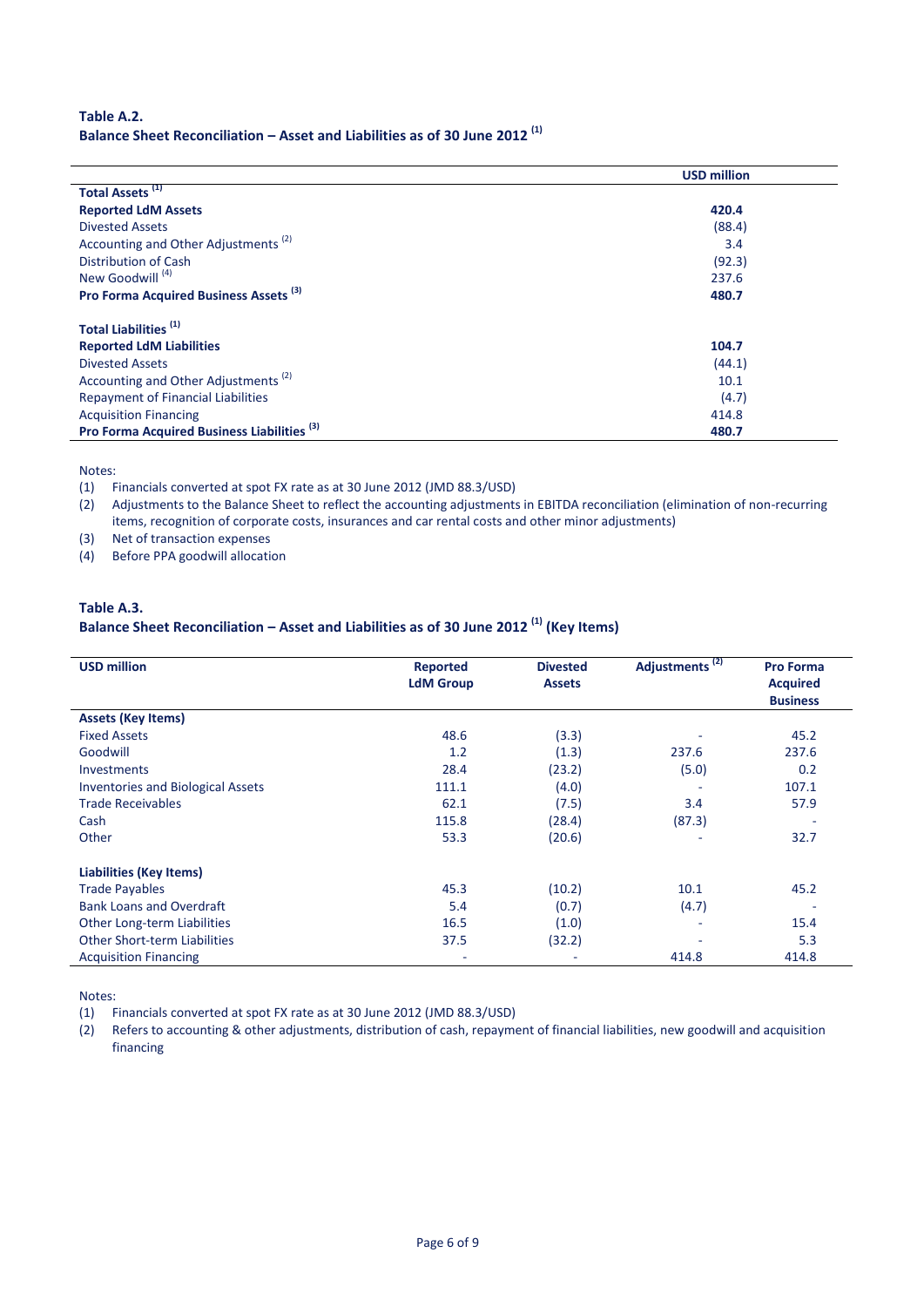# **Table A.2. Balance Sheet Reconciliation – Asset and Liabilities as of 30 June 2012 (1)**

|                                                        | <b>USD million</b> |
|--------------------------------------------------------|--------------------|
| Total Assets <sup>(1)</sup>                            |                    |
| <b>Reported LdM Assets</b>                             | 420.4              |
| Divested Assets                                        | (88.4)             |
| Accounting and Other Adjustments <sup>(2)</sup>        | 3.4                |
| Distribution of Cash                                   | (92.3)             |
| New Goodwill <sup>(4)</sup>                            | 237.6              |
| Pro Forma Acquired Business Assets <sup>(3)</sup>      | 480.7              |
| Total Liabilities <sup>(1)</sup>                       |                    |
| <b>Reported LdM Liabilities</b>                        | 104.7              |
| <b>Divested Assets</b>                                 | (44.1)             |
| Accounting and Other Adjustments <sup>(2)</sup>        | 10.1               |
| <b>Repayment of Financial Liabilities</b>              | (4.7)              |
| <b>Acquisition Financing</b>                           | 414.8              |
| Pro Forma Acquired Business Liabilities <sup>(3)</sup> | 480.7              |

Notes:

 $\mathbf{r}$ 

l. l,

(1) Financials converted at spot FX rate as at 30 June 2012 (JMD 88.3/USD)

(2) Adjustments to the Balance Sheet to reflect the accounting adjustments in EBITDA reconciliation (elimination of non-recurring items, recognition of corporate costs, insurances and car rental costs and other minor adjustments)

(3) Net of transaction expenses

(4) Before PPA goodwill allocation

# **Table A.3.**

# **Balance Sheet Reconciliation – Asset and Liabilities as of 30 June 2012 (1) (Key Items)**

| <b>USD million</b>                       | <b>Reported</b><br><b>LdM Group</b> | <b>Divested</b><br><b>Assets</b> | Adjustments <sup>(2)</sup> | <b>Pro Forma</b><br><b>Acquired</b><br><b>Business</b> |
|------------------------------------------|-------------------------------------|----------------------------------|----------------------------|--------------------------------------------------------|
| <b>Assets (Key Items)</b>                |                                     |                                  |                            |                                                        |
| <b>Fixed Assets</b>                      | 48.6                                | (3.3)                            |                            | 45.2                                                   |
| Goodwill                                 | 1.2                                 | (1.3)                            | 237.6                      | 237.6                                                  |
| <b>Investments</b>                       | 28.4                                | (23.2)                           | (5.0)                      | 0.2                                                    |
| <b>Inventories and Biological Assets</b> | 111.1                               | (4.0)                            |                            | 107.1                                                  |
| <b>Trade Receivables</b>                 | 62.1                                | (7.5)                            | 3.4                        | 57.9                                                   |
| Cash                                     | 115.8                               | (28.4)                           | (87.3)                     |                                                        |
| Other                                    | 53.3                                | (20.6)                           | ٠                          | 32.7                                                   |
| <b>Liabilities (Key Items)</b>           |                                     |                                  |                            |                                                        |
| <b>Trade Payables</b>                    | 45.3                                | (10.2)                           | 10.1                       | 45.2                                                   |
| <b>Bank Loans and Overdraft</b>          | 5.4                                 | (0.7)                            | (4.7)                      |                                                        |
| <b>Other Long-term Liabilities</b>       | 16.5                                | (1.0)                            | ۰                          | 15.4                                                   |
| <b>Other Short-term Liabilities</b>      | 37.5                                | (32.2)                           |                            | 5.3                                                    |
| <b>Acquisition Financing</b>             | ٠                                   |                                  | 414.8                      | 414.8                                                  |

Notes:

(1) Financials converted at spot FX rate as at 30 June 2012 (JMD 88.3/USD)

(2) Refers to accounting & other adjustments, distribution of cash, repayment of financial liabilities, new goodwill and acquisition financing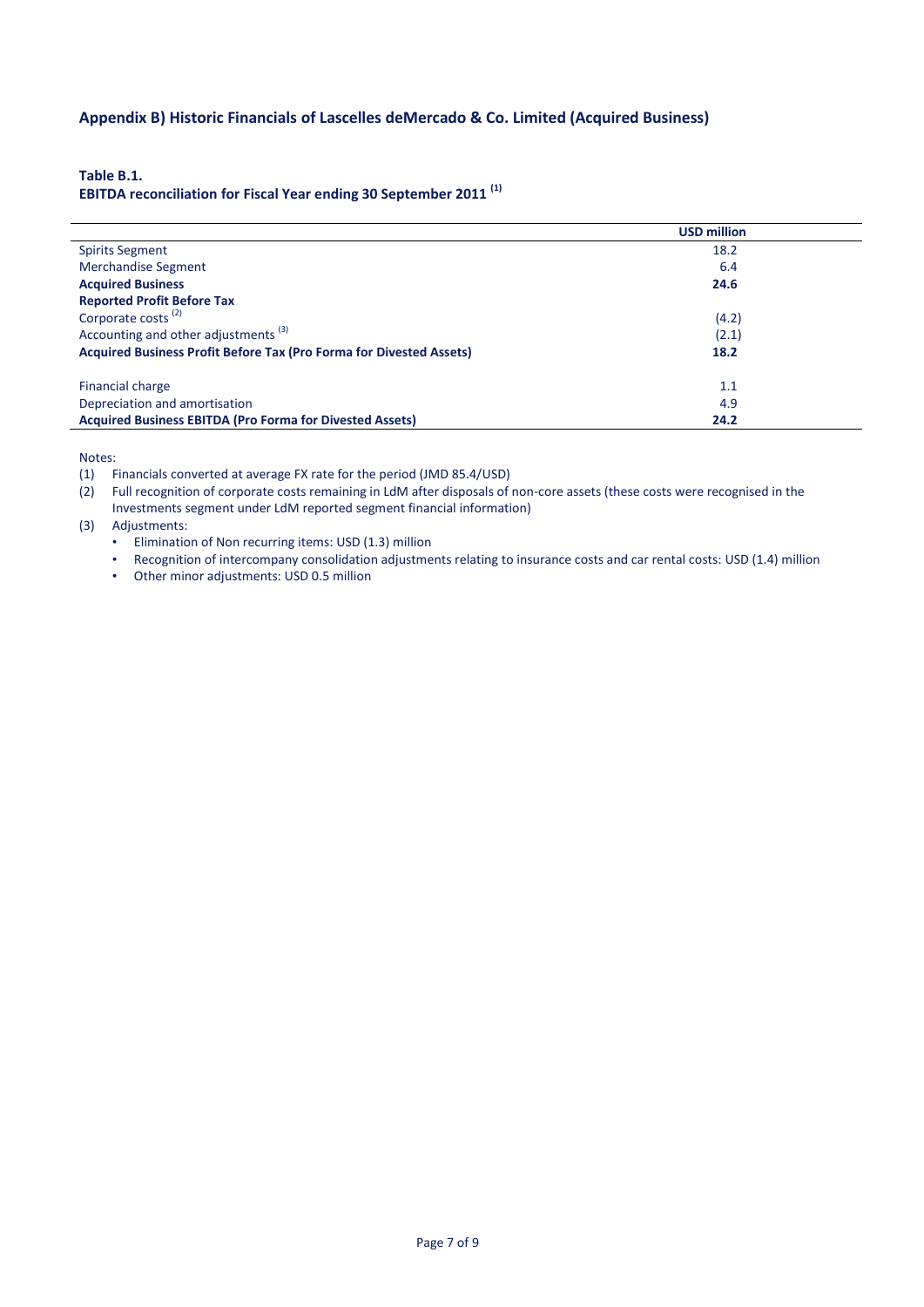# **Appendix B) Historic Financials of Lascelles deMercado & Co. Limited (Acquired Business)**

**Table B.1.**

# **EBITDA reconciliation for Fiscal Year ending 30 September 2011 (1)**

|                                                                     | <b>USD million</b> |  |
|---------------------------------------------------------------------|--------------------|--|
| <b>Spirits Segment</b>                                              | 18.2               |  |
| <b>Merchandise Segment</b>                                          | 6.4                |  |
| <b>Acquired Business</b>                                            | 24.6               |  |
| <b>Reported Profit Before Tax</b>                                   |                    |  |
| Corporate costs <sup>(2)</sup>                                      | (4.2)              |  |
| Accounting and other adjustments <sup>(3)</sup>                     | (2.1)              |  |
| Acquired Business Profit Before Tax (Pro Forma for Divested Assets) | 18.2               |  |
| Financial charge                                                    | 1.1                |  |
| Depreciation and amortisation                                       | 4.9                |  |
| <b>Acquired Business EBITDA (Pro Forma for Divested Assets)</b>     | 24.2               |  |

Notes:

(1) Financials converted at average FX rate for the period (JMD 85.4/USD)

(2) Full recognition of corporate costs remaining in LdM after disposals of non-core assets (these costs were recognised in the Investments segment under LdM reported segment financial information)

(3) Adjustments:

• Elimination of Non recurring items: USD (1.3) million

• Recognition of intercompany consolidation adjustments relating to insurance costs and car rental costs: USD (1.4) million

• Other minor adjustments: USD 0.5 million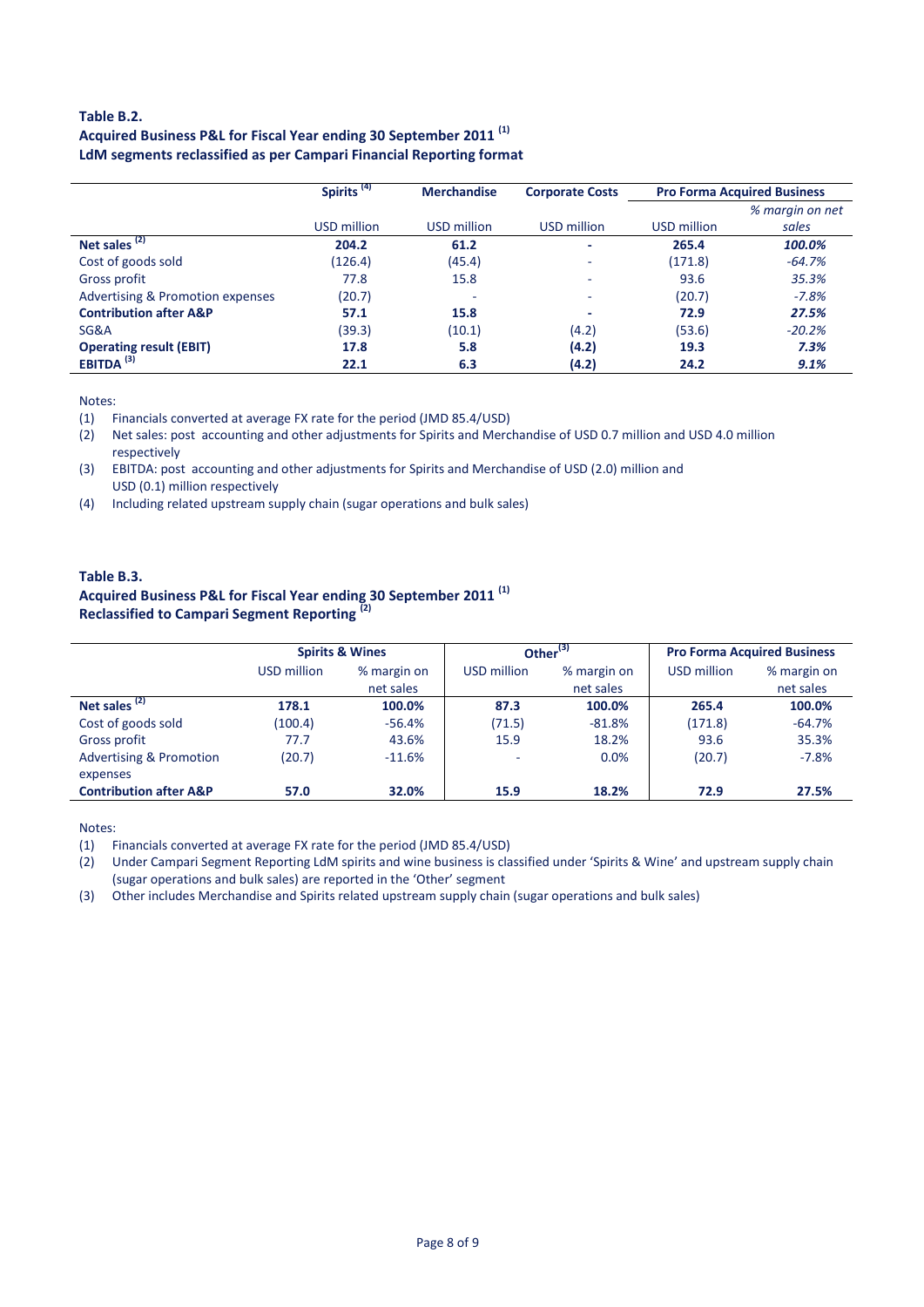## **Table B.2. Acquired Business P&L for Fiscal Year ending 30 September 2011 (1) LdM segments reclassified as per Campari Financial Reporting format**

|                                             | Spirits <sup>(4)</sup> | <b>Merchandise</b> | <b>Corporate Costs</b> | <b>Pro Forma Acquired Business</b> |                 |
|---------------------------------------------|------------------------|--------------------|------------------------|------------------------------------|-----------------|
|                                             |                        |                    |                        |                                    | % margin on net |
|                                             | USD million            | USD million        | USD million            | USD million                        | sales           |
| Net sales <sup>(2)</sup>                    | 204.2                  | 61.2               | -                      | 265.4                              | 100.0%          |
| Cost of goods sold                          | (126.4)                | (45.4)             | $\sim$                 | (171.8)                            | $-64.7%$        |
| Gross profit                                | 77.8                   | 15.8               | $\sim$                 | 93.6                               | 35.3%           |
| <b>Advertising &amp; Promotion expenses</b> | (20.7)                 | ۰                  | $\sim$                 | (20.7)                             | $-7.8%$         |
| <b>Contribution after A&amp;P</b>           | 57.1                   | 15.8               |                        | 72.9                               | 27.5%           |
| SG&A                                        | (39.3)                 | (10.1)             | (4.2)                  | (53.6)                             | $-20.2%$        |
| <b>Operating result (EBIT)</b>              | 17.8                   | 5.8                | (4.2)                  | 19.3                               | 7.3%            |
| EBITDA $^{(3)}$                             | 22.1                   | 6.3                | (4.2)                  | 24.2                               | 9.1%            |

Notes:

(1) Financials converted at average FX rate for the period (JMD 85.4/USD)

(2) Net sales: post accounting and other adjustments for Spirits and Merchandise of USD 0.7 million and USD 4.0 million respectively

(3) EBITDA: post accounting and other adjustments for Spirits and Merchandise of USD (2.0) million and USD (0.1) million respectively

(4) Including related upstream supply chain (sugar operations and bulk sales)

## **Table B.3. Acquired Business P&L for Fiscal Year ending 30 September 2011 (1) Reclassified to Campari Segment Reporting (2)**

|                                    | <b>Spirits &amp; Wines</b> |                          | Other <sup>(3)</sup> |                          | <b>Pro Forma Acquired Business</b> |                          |
|------------------------------------|----------------------------|--------------------------|----------------------|--------------------------|------------------------------------|--------------------------|
|                                    | USD million                | % margin on<br>net sales | USD million          | % margin on<br>net sales | <b>USD million</b>                 | % margin on<br>net sales |
|                                    |                            |                          |                      |                          |                                    |                          |
| Net sales <sup>(2)</sup>           | 178.1                      | 100.0%                   | 87.3                 | 100.0%                   | 265.4                              | 100.0%                   |
| Cost of goods sold                 | (100.4)                    | $-56.4%$                 | (71.5)               | $-81.8%$                 | (171.8)                            | $-64.7%$                 |
| Gross profit                       | 77.7                       | 43.6%                    | 15.9                 | 18.2%                    | 93.6                               | 35.3%                    |
| <b>Advertising &amp; Promotion</b> | (20.7)                     | $-11.6%$                 | $\sim$               | 0.0%                     | (20.7)                             | $-7.8%$                  |
| expenses                           |                            |                          |                      |                          |                                    |                          |
| <b>Contribution after A&amp;P</b>  | 57.0                       | 32.0%                    | 15.9                 | 18.2%                    | 72.9                               | 27.5%                    |

Notes:

(1) Financials converted at average FX rate for the period (JMD 85.4/USD)

(2) Under Campari Segment Reporting LdM spirits and wine business is classified under 'Spirits & Wine' and upstream supply chain (sugar operations and bulk sales) are reported in the 'Other' segment

(3) Other includes Merchandise and Spirits related upstream supply chain (sugar operations and bulk sales)